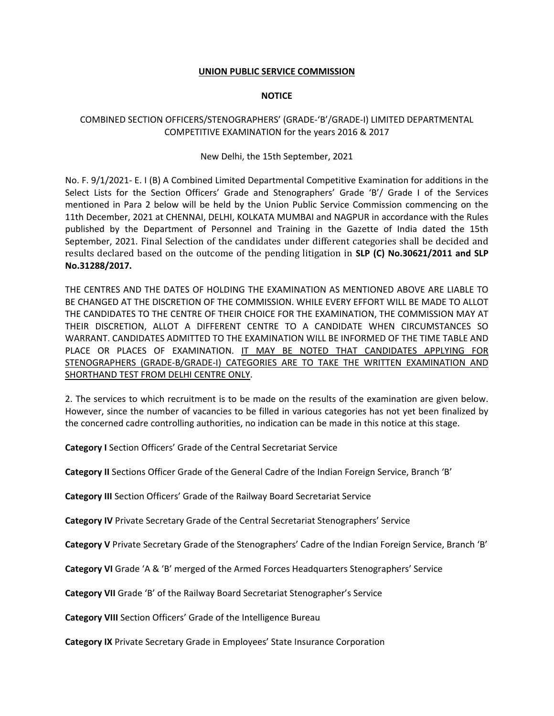#### **UNION PUBLIC SERVICE COMMISSION**

#### **NOTICE**

### COMBINED SECTION OFFICERS/STENOGRAPHERS' (GRADE‐'B'/GRADE‐I) LIMITED DEPARTMENTAL COMPETITIVE EXAMINATION for the years 2016 & 2017

#### New Delhi, the 15th September, 2021

No. F. 9/1/2021‐ E. I (B) A Combined Limited Departmental Competitive Examination for additions in the Select Lists for the Section Officers' Grade and Stenographers' Grade 'B'/ Grade I of the Services mentioned in Para 2 below will be held by the Union Public Service Commission commencing on the 11th December, 2021 at CHENNAI, DELHI, KOLKATA MUMBAI and NAGPUR in accordance with the Rules published by the Department of Personnel and Training in the Gazette of India dated the 15th September, 2021. Final Selection of the candidates under different categories shall be decided and results declared based on the outcome of the pending litigation in **SLP (C) No.30621/2011 and SLP No.31288/2017.**

THE CENTRES AND THE DATES OF HOLDING THE EXAMINATION AS MENTIONED ABOVE ARE LIABLE TO BE CHANGED AT THE DISCRETION OF THE COMMISSION. WHILE EVERY EFFORT WILL BE MADE TO ALLOT THE CANDIDATES TO THE CENTRE OF THEIR CHOICE FOR THE EXAMINATION, THE COMMISSION MAY AT THEIR DISCRETION, ALLOT A DIFFERENT CENTRE TO A CANDIDATE WHEN CIRCUMSTANCES SO WARRANT. CANDIDATES ADMITTED TO THE EXAMINATION WILL BE INFORMED OF THE TIME TABLE AND PLACE OR PLACES OF EXAMINATION. IT MAY BE NOTED THAT CANDIDATES APPLYING FOR STENOGRAPHERS (GRADE-B/GRADE-I) CATEGORIES ARE TO TAKE THE WRITTEN EXAMINATION AND SHORTHAND TEST FROM DELHI CENTRE ONLY.

2. The services to which recruitment is to be made on the results of the examination are given below. However, since the number of vacancies to be filled in various categories has not yet been finalized by the concerned cadre controlling authorities, no indication can be made in this notice at this stage.

**Category I** Section Officers' Grade of the Central Secretariat Service

**Category II** Sections Officer Grade of the General Cadre of the Indian Foreign Service, Branch 'B'

**Category III** Section Officers' Grade of the Railway Board Secretariat Service

**Category IV** Private Secretary Grade of the Central Secretariat Stenographers' Service

**Category V** Private Secretary Grade of the Stenographers' Cadre of the Indian Foreign Service, Branch 'B'

**Category VI** Grade 'A & 'B' merged of the Armed Forces Headquarters Stenographers' Service

**Category VII** Grade 'B' of the Railway Board Secretariat Stenographer's Service

**Category VIII** Section Officers' Grade of the Intelligence Bureau

**Category IX** Private Secretary Grade in Employees' State Insurance Corporation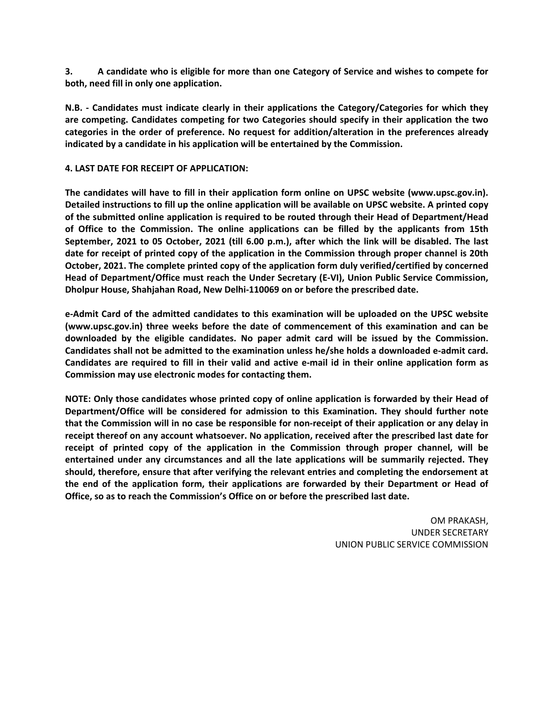**3. A candidate who is eligible for more than one Category of Service and wishes to compete for both, need fill in only one application.** 

**N.B. ‐ Candidates must indicate clearly in their applications the Category/Categories for which they are competing. Candidates competing for two Categories should specify in their application the two categories in the order of preference. No request for addition/alteration in the preferences already indicated by a candidate in his application will be entertained by the Commission.** 

#### **4. LAST DATE FOR RECEIPT OF APPLICATION:**

**The candidates will have to fill in their application form online on UPSC website (www.upsc.gov.in). Detailed instructions to fill up the online application will be available on UPSC website. A printed copy of the submitted online application is required to be routed through their Head of Department/Head of Office to the Commission. The online applications can be filled by the applicants from 15th September, 2021 to 05 October, 2021 (till 6.00 p.m.), after which the link will be disabled. The last date for receipt of printed copy of the application in the Commission through proper channel is 20th October, 2021. The complete printed copy of the application form duly verified/certified by concerned Head of Department/Office must reach the Under Secretary (E‐VI), Union Public Service Commission, Dholpur House, Shahjahan Road, New Delhi‐110069 on or before the prescribed date.** 

**e‐Admit Card of the admitted candidates to this examination will be uploaded on the UPSC website (www.upsc.gov.in) three weeks before the date of commencement of this examination and can be downloaded by the eligible candidates. No paper admit card will be issued by the Commission. Candidates shall not be admitted to the examination unless he/she holds a downloaded e‐admit card. Candidates are required to fill in their valid and active e‐mail id in their online application form as Commission may use electronic modes for contacting them.** 

**NOTE: Only those candidates whose printed copy of online application is forwarded by their Head of Department/Office will be considered for admission to this Examination. They should further note that the Commission will in no case be responsible for non‐receipt of their application or any delay in receipt thereof on any account whatsoever. No application, received after the prescribed last date for receipt of printed copy of the application in the Commission through proper channel, will be entertained under any circumstances and all the late applications will be summarily rejected. They should, therefore, ensure that after verifying the relevant entries and completing the endorsement at the end of the application form, their applications are forwarded by their Department or Head of Office, so as to reach the Commission's Office on or before the prescribed last date.** 

> OM PRAKASH, UNDER SECRETARY UNION PUBLIC SERVICE COMMISSION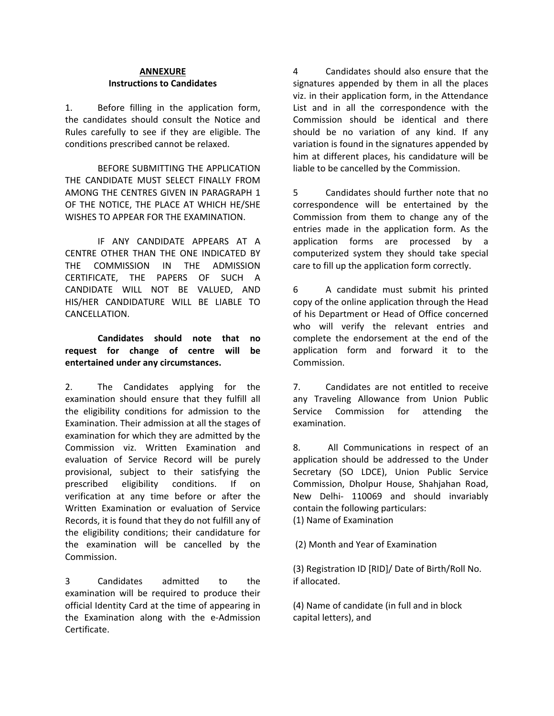### **ANNEXURE Instructions to Candidates**

1. Before filling in the application form, the candidates should consult the Notice and Rules carefully to see if they are eligible. The conditions prescribed cannot be relaxed.

BEFORE SUBMITTING THE APPLICATION THE CANDIDATE MUST SELECT FINALLY FROM AMONG THE CENTRES GIVEN IN PARAGRAPH 1 OF THE NOTICE, THE PLACE AT WHICH HE/SHE WISHES TO APPEAR FOR THE EXAMINATION.

IF ANY CANDIDATE APPEARS AT A CENTRE OTHER THAN THE ONE INDICATED BY THE COMMISSION IN THE ADMISSION CERTIFICATE, THE PAPERS OF SUCH A CANDIDATE WILL NOT BE VALUED, AND HIS/HER CANDIDATURE WILL BE LIABLE TO CANCELLATION.

## **Candidates should note that no request for change of centre will be entertained under any circumstances.**

2. The Candidates applying for the examination should ensure that they fulfill all the eligibility conditions for admission to the Examination. Their admission at all the stages of examination for which they are admitted by the Commission viz. Written Examination and evaluation of Service Record will be purely provisional, subject to their satisfying the prescribed eligibility conditions. If on verification at any time before or after the Written Examination or evaluation of Service Records, it is found that they do not fulfill any of the eligibility conditions; their candidature for the examination will be cancelled by the Commission.

3 Candidates admitted to the examination will be required to produce their official Identity Card at the time of appearing in the Examination along with the e‐Admission Certificate.

4 Candidates should also ensure that the signatures appended by them in all the places viz. in their application form, in the Attendance List and in all the correspondence with the Commission should be identical and there should be no variation of any kind. If any variation is found in the signatures appended by him at different places, his candidature will be liable to be cancelled by the Commission.

5 Candidates should further note that no correspondence will be entertained by the Commission from them to change any of the entries made in the application form. As the application forms are processed by a computerized system they should take special care to fill up the application form correctly.

6 A candidate must submit his printed copy of the online application through the Head of his Department or Head of Office concerned who will verify the relevant entries and complete the endorsement at the end of the application form and forward it to the Commission.

7. Candidates are not entitled to receive any Traveling Allowance from Union Public Service Commission for attending the examination.

8. All Communications in respect of an application should be addressed to the Under Secretary (SO LDCE), Union Public Service Commission, Dholpur House, Shahjahan Road, New Delhi‐ 110069 and should invariably contain the following particulars: (1) Name of Examination

(2) Month and Year of Examination

(3) Registration ID [RID]/ Date of Birth/Roll No. if allocated.

(4) Name of candidate (in full and in block capital letters), and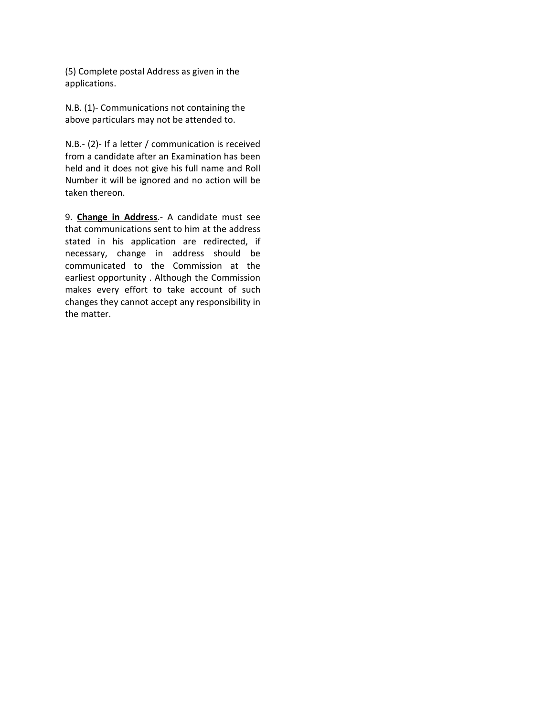(5) Complete postal Address as given in the applications.

N.B. (1)‐ Communications not containing the above particulars may not be attended to.

N.B.‐ (2)‐ If a letter / communication is received from a candidate after an Examination has been held and it does not give his full name and Roll Number it will be ignored and no action will be taken thereon.

9. **Change in Address**.‐ A candidate must see that communications sent to him at the address stated in his application are redirected, if necessary, change in address should be communicated to the Commission at the earliest opportunity . Although the Commission makes every effort to take account of such changes they cannot accept any responsibility in the matter.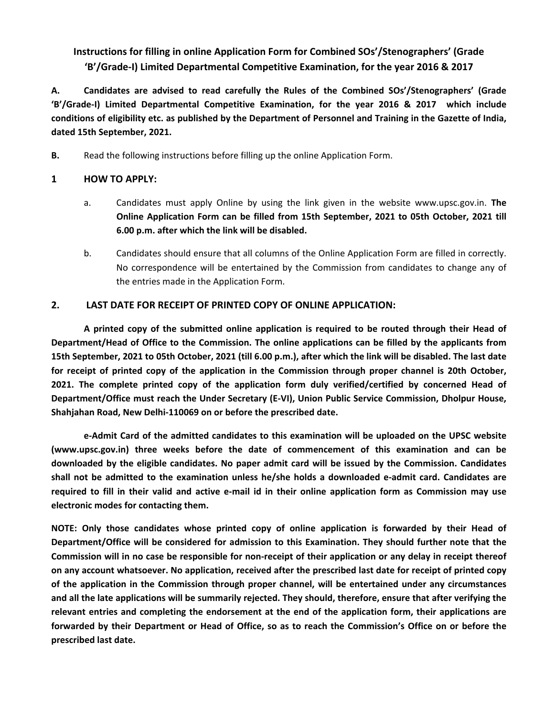# **Instructions for filling in online Application Form for Combined SOs'/Stenographers' (Grade 'B'/Grade‐I) Limited Departmental Competitive Examination, for the year 2016 & 2017**

**A. Candidates are advised to read carefully the Rules of the Combined SOs'/Stenographers' (Grade 'B'/Grade‐I) Limited Departmental Competitive Examination, for the year 2016 & 2017 which include conditions of eligibility etc. as published by the Department of Personnel and Training in the Gazette of India, dated 15th September, 2021.** 

**B.** Read the following instructions before filling up the online Application Form.

### **1 HOW TO APPLY:**

- a. Candidates must apply Online by using the link given in the website www.upsc.gov.in. **The Online Application Form can be filled from 15th September, 2021 to 05th October, 2021 till 6.00 p.m. after which the link will be disabled.**
- b. Candidates should ensure that all columns of the Online Application Form are filled in correctly. No correspondence will be entertained by the Commission from candidates to change any of the entries made in the Application Form.

### **2. LAST DATE FOR RECEIPT OF PRINTED COPY OF ONLINE APPLICATION:**

**A printed copy of the submitted online application is required to be routed through their Head of Department/Head of Office to the Commission. The online applications can be filled by the applicants from 15th September, 2021 to 05th October, 2021 (till 6.00 p.m.), after which the link will be disabled. The last date for receipt of printed copy of the application in the Commission through proper channel is 20th October, 2021. The complete printed copy of the application form duly verified/certified by concerned Head of Department/Office must reach the Under Secretary (E‐VI), Union Public Service Commission, Dholpur House, Shahjahan Road, New Delhi‐110069 on or before the prescribed date.** 

**e‐Admit Card of the admitted candidates to this examination will be uploaded on the UPSC website (www.upsc.gov.in) three weeks before the date of commencement of this examination and can be downloaded by the eligible candidates. No paper admit card will be issued by the Commission. Candidates shall not be admitted to the examination unless he/she holds a downloaded e‐admit card. Candidates are required to fill in their valid and active e‐mail id in their online application form as Commission may use electronic modes for contacting them.** 

**NOTE: Only those candidates whose printed copy of online application is forwarded by their Head of Department/Office will be considered for admission to this Examination. They should further note that the Commission will in no case be responsible for non‐receipt of their application or any delay in receipt thereof on any account whatsoever. No application, received after the prescribed last date for receipt of printed copy of the application in the Commission through proper channel, will be entertained under any circumstances and all the late applications will be summarily rejected. They should, therefore, ensure that after verifying the relevant entries and completing the endorsement at the end of the application form, their applications are forwarded by their Department or Head of Office, so as to reach the Commission's Office on or before the prescribed last date.**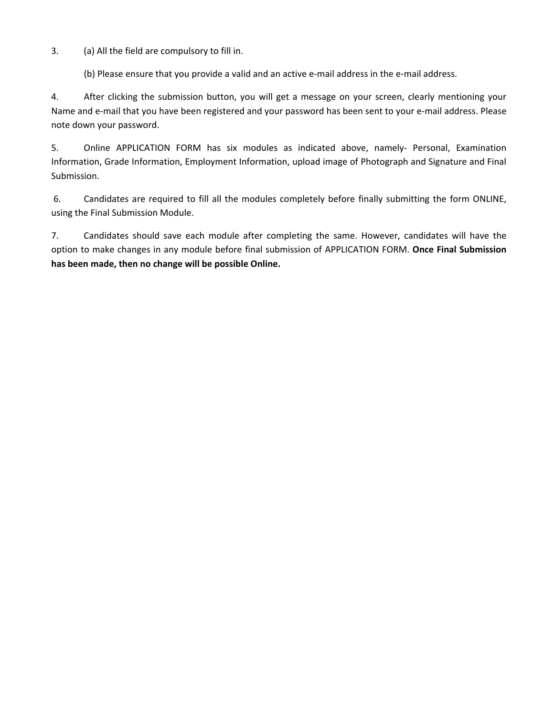3. (a) All the field are compulsory to fill in.

(b) Please ensure that you provide a valid and an active e-mail address in the e-mail address.

4. After clicking the submission button, you will get a message on your screen, clearly mentioning your Name and e‐mail that you have been registered and your password has been sent to your e‐mail address. Please note down your password.

5. Online APPLICATION FORM has six modules as indicated above, namely- Personal, Examination Information, Grade Information, Employment Information, upload image of Photograph and Signature and Final Submission.

 6. Candidates are required to fill all the modules completely before finally submitting the form ONLINE, using the Final Submission Module.

7. Candidates should save each module after completing the same. However, candidates will have the option to make changes in any module before final submission of APPLICATION FORM. **Once Final Submission has been made, then no change will be possible Online.**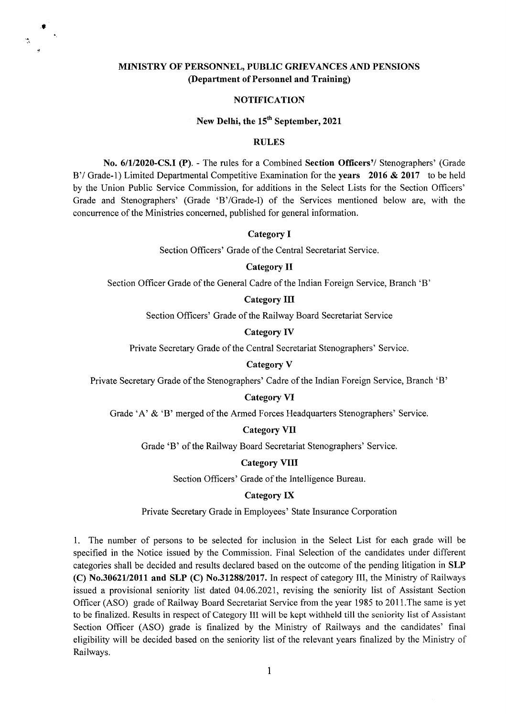### **MINISTRY OF PERSONNEL, PUBLIC GRIEVANCES AND PENSIONS (Department of Personnel and Training)**

#### **NOTIFICATION**

### New Delhi, the 15<sup>th</sup> September, 2021

### **RULES**

**No. 6/1/2020-CS.I (F).** - The rules for a Combined **Section Officers'!** Stenographers' (Grade B'/ Grade-1) Limited Departmental Competitive Examination for the **years** 2016 & 2017 to be held by the Union Public Service Commission, for additions in the Select Lists for the Section Officers' Grade and Stenographers' (Grade 'B'/Grade-I) of the Services mentioned below are, with the concurrence of the Ministries concerned, published for general information.

#### **Category I**

Section Officers' Grade of the Central Secretariat Service.

#### **Category II**

Section Officer Grade of the General Cadre of the Indian Foreign Service, Branch 'B'

### **Category Ill**

Section Officers' Grade of the Railway Board Secretariat Service

#### **Category IV**

Private Secretary Grade of the Central Secretariat Stenographers' Service.

#### **Category** V

Private Secretary Grade of the Stenographers' Cadre of the Indian Foreign Service, Branch 'B'

### **Category VI**

Grade 'A' & 'B' merged of the Armed Forces Headquarters Stenographers' Service.

#### **Category VU**

Grade 'B' of the Railway Board Secretariat Stenographers' Service.

#### **Category VIII**

Section Officers' Grade of the Intelligence Bureau.

### **Category IX**

Private Secretary Grade in Employees' State Insurance Corporation

i. The number of persons to be selected for inclusion in the Select List for each grade will be specified in the Notice issued by the Commission. Final Selection of the candidates under different categories shall be decided and results declared based on the outcome of the pending litigation in **SLP (C) No.30621/2011 and SLP (C) No.31288/2017.** In respect of category III, the Ministry of Railways issued a provisional seniority list dated 04.06.2021, revising the seniority list of Assistant Section Officer (ASO) grade of Railway Board Secretariat Service from the year 1985 to 2011.The same is yet to be finalized. Results in respect of Category III will be kept withheld till the seniority list of Assistant Section Officer (ASO) grade is finalized by the Ministry of Railways and the candidates' final eligibility will be decided based on the seniority list of the relevant years finalized by the Ministry of Railways.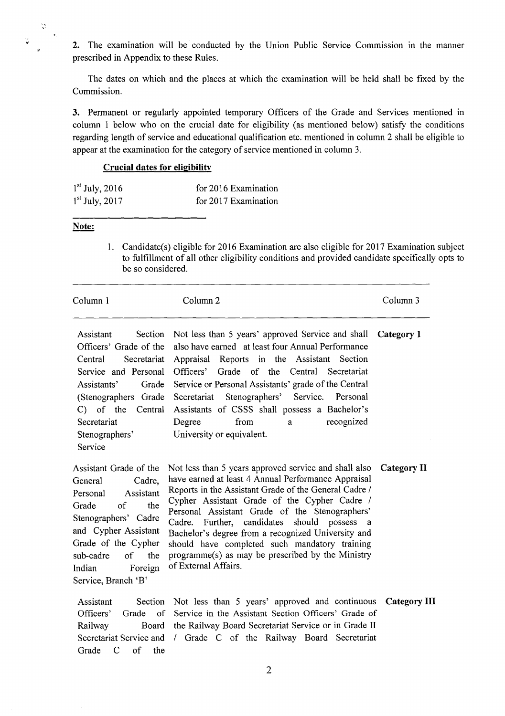2. The examination will be conducted by the Union Public Service Commission in the manner prescribed in Appendix to these Rules.

The dates on which and the places at which the examination will be held shall be fixed by the Commission.

3. Permanent or regularly appointed temporary Officers of the Grade and Services mentioned in column 1 below who on the crucial date for eligibility (as mentioned below) satisfy the conditions regarding length of service and educational qualification etc. mentioned in column 2 shall be eligible to appear at the examination for the category of service mentioned in column 3.

#### **Crucial dates for eligibility**

| $1st$ July, 2016 | for 2016 Examination |
|------------------|----------------------|
| $1st$ July, 2017 | for 2017 Examination |

### **Note:**

 $\ddot{\psi}$ 

ù.

1. Candidate(s) eligible for 2016 Examination are also eligible for 2017 Examination subject to fulfillment of all other eligibility conditions and provided candidate specifically opts to be so considered.

| Column 1                                                                                                                                                                                                                                           | Column <sub>2</sub>                                                                                                                                                                                                                                                                                                                                                                                                                                                                                              | Column 3     |
|----------------------------------------------------------------------------------------------------------------------------------------------------------------------------------------------------------------------------------------------------|------------------------------------------------------------------------------------------------------------------------------------------------------------------------------------------------------------------------------------------------------------------------------------------------------------------------------------------------------------------------------------------------------------------------------------------------------------------------------------------------------------------|--------------|
| Assistant<br>Section<br>Officers' Grade of the<br>Central<br>Secretariat<br>Service and Personal<br>Assistants'<br>Grade<br>(Stenographers Grade<br>C) of the Central<br>Secretariat<br>Stenographers'<br>Service                                  | Not less than 5 years' approved Service and shall<br>also have earned at least four Annual Performance<br>Appraisal Reports in the Assistant Section<br>Officers' Grade of the Central Secretariat<br>Service or Personal Assistants' grade of the Central<br>Stenographers' Service. Personal<br>Secretariat<br>Assistants of CSSS shall possess a Bachelor's<br>from<br>recognized<br>Degree<br>a<br>University or equivalent.                                                                                 | Category 1   |
| Assistant Grade of the<br>General<br>Cadre.<br>Assistant<br>Personal<br>of<br>Grade<br>the<br>Stenographers' Cadre<br>and Cypher Assistant<br>Grade of the Cypher<br>sub-cadre<br><sub>of</sub><br>the<br>Indian<br>Foreign<br>Service, Branch 'B' | Not less than 5 years approved service and shall also<br>have earned at least 4 Annual Performance Appraisal<br>Reports in the Assistant Grade of the General Cadre /<br>Cypher Assistant Grade of the Cypher Cadre /<br>Personal Assistant Grade of the Stenographers'<br>Further, candidates<br>should possess a<br>Cadre.<br>Bachelor's degree from a recognized University and<br>should have completed such mandatory training<br>programme(s) as may be prescribed by the Ministry<br>of External Affairs. | Category II  |
| Assistant<br>Section<br>Officers'<br>Grade of<br>Railway<br>Board<br>Secretariat Service and<br>Grade<br>C of the                                                                                                                                  | Not less than 5 years' approved and continuous<br>Service in the Assistant Section Officers' Grade of<br>the Railway Board Secretariat Service or in Grade II<br>/ Grade C of the Railway Board Secretariat                                                                                                                                                                                                                                                                                                      | Category III |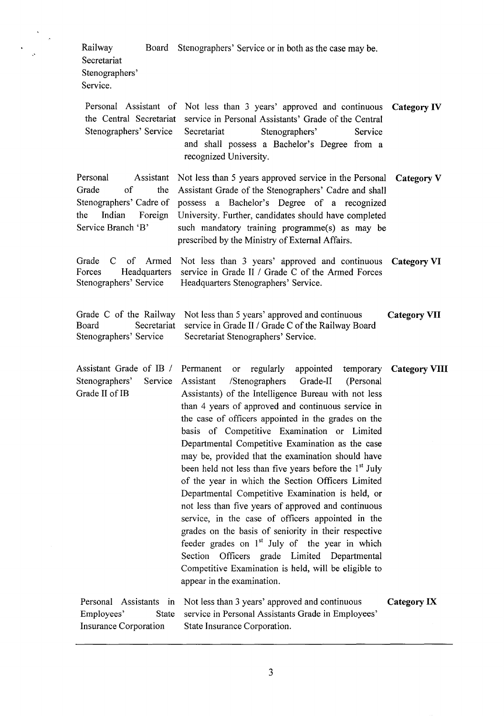Railway Board Stenographers' Service or in both as the case may be. Secretariat Stenographers' Service.

- Personal Assistant of Not less than 3 years' approved and continuous **Category IV**  the Central Secretariat service in Personal Assistants' Grade of the Central Stenographers' Service Secretariat Stenographers' Service and shall possess a Bachelor's Degree from a recognized University. Personal Assistant Grade of the Stenographers' Cadre of the Indian Foreign Service Branch 'B' Grade C of Armed Forces Headquarters Stenographers' Service Not less than *5* years approved service in the Personal **Category** V Assistant Grade of the Stenographers' Cadre and shall possess a Bachelor's Degree of a recognized University. Further, candidates should have completed such mandatory training programme(s) as may be prescribed by the Ministry of External Affairs. Not less than 3 years' approved and continuous **Category VI**  service in Grade II / Grade C of the Armed Forces Headquarters Stenographers' Service. Grade C of the Railway Not less than 5 years' approved and continuous **Category VII** Board Secretariat service in Grade II / Grade C of the Railway Board Stenographers' Service Secretariat Stenographers' Service.
- Assistant Grade of TB *I*  Stenographers' Service Grade II of TB Personal Assistants in Employees' State Permanent or regularly appointed temporary **Category VIII** Assistant /Stenographers Grade-II (Personal Assistants) of the Intelligence Bureau with not less than 4 years of approved and continuous service in the case of officers appointed in the grades on the basis of Competitive Examination or Limited Departmental Competitive Examination as the case may be, provided that the examination should have been held not less than five years before the  $1<sup>st</sup>$  July of the year in which the Section Officers Limited Departmental Competitive Examination is held, or not less than five years of approved and continuous service, in the case of officers appointed in the grades on the basis of seniority in their respective feeder grades on  $1<sup>st</sup>$  July of the year in which Section Officers grade Limited Departmental Competitive Examination is held, will be eligible to appear in the examination. Not less than 3 years' approved and continuous **Category IX** service in Personal Assistants Grade in Employees'

State Insurance Corporation.

Insurance Corporation

3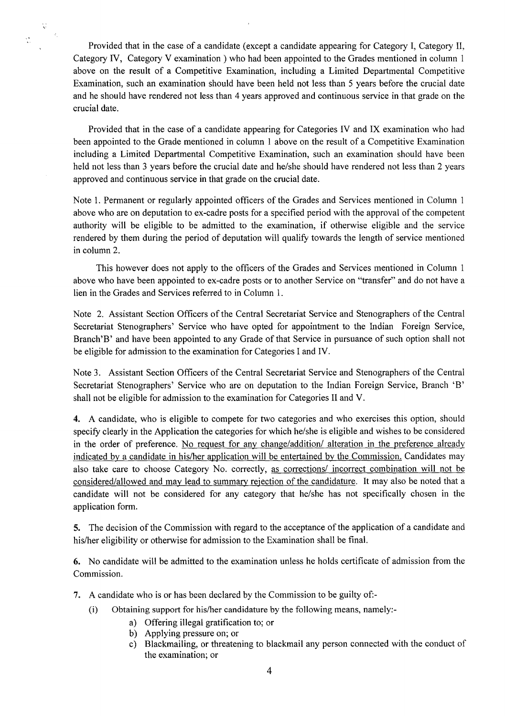Provided that in the case of a candidate (except a candidate appearing for Category I, Category II, Category IV, Category V examination ) who had been appointed to the Grades mentioned in column I above on the result of a Competitive Examination, including a Limited Departmental Competitive Examination, such an examination should have been held not less than *5* years before the crucial date and he should have rendered not less than 4 years approved and continuous service in that grade on the crucial date.

V

Provided that in the case of a candidate appearing for Categories IV and IX examination who had been appointed to the Grade mentioned in column I above on the result of a Competitive Examination including a Limited Departmental Competitive Examination, such an examination should have been held not less than 3 years before the crucial date and he/she should have rendered not less than 2 years approved and continuous service in that grade on the crucial date.

Note 1. Permanent or regularly appointed officers of the Grades and Services mentioned in Column I above who are on deputation to ex-cadre posts for a specified period with the approval of the competent authority will be eligible to be admitted to the examination, if otherwise eligible and the service rendered by them during the period of deputation will qualify towards the length of service mentioned in column 2.

This however does not apply to the officers of the Grades and Services mentioned in Column 1 above who have been appointed to ex-cadre posts or to another Service on "transfer" and do not have a lien in the Grades and Services referred to in Column 1.

Note 2. Assistant Section Officers of the Central Secretariat Service and Stenographers of the Central Secretariat Stenographers' Service who have opted for appointment to the Indian Foreign Service, Branch'B' and have been appointed to any Grade of that Service in pursuance of such option shall not be eligible for admission to the examination for Categories I and IV.

Note 3. Assistant Section Officers of the Central Secretariat Service and Stenographers of the Central Secretariat Stenographers' Service who are on deputation to the Indian Foreign Service, Branch 'B' shall not be eligible for admission to the examination for Categories II and V.

4. A candidate, who is eligible to compete for two categories and who exercises this option, should specify clearly in the Application the categories for which he/she is eligible and wishes to be considered in the order of preference. No request for any change/addition/ alteration in the preference already indicated by a candidate in his/her application will be entertained by the Commission. Candidates may also take care to choose Category No. correctly, as corrections/ incorrect combination will not be considered/allowed and may lead to summary rejection of the candidature. It may also be noted that a candidate will not be considered for any category that he/she has not specifically chosen in the application form.

5. The decision of the Commission with regard to the acceptance of the application of a candidate and his/her eligibility or otherwise for admission to the Examination shall be final.

6. No candidate will be admitted to the examination unless he holds certificate of admission from the Commission.

- 7. A candidate who is or has been declared by the Commission to be guilty of:-
	- (i) Obtaining support for his/her candidature by the following means, namely:
		- a) Offering illegal gratification to; or
			- b) Applying pressure on; or
			- c) Blackmailing, or threatening to blackmail any person connected with the conduct of the examination; or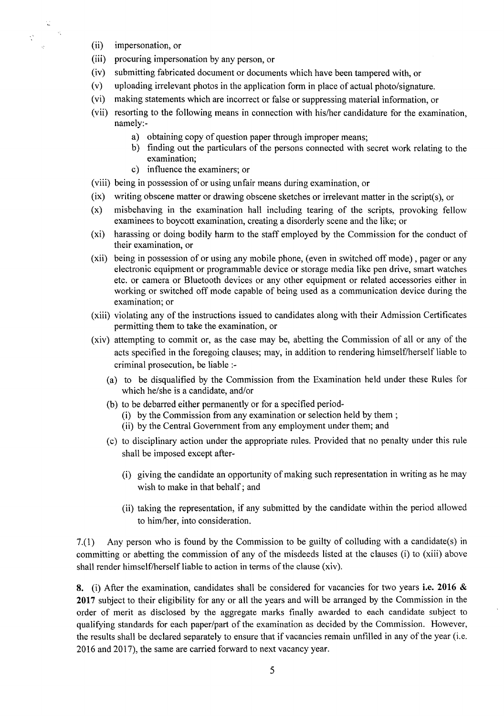(ii) impersonation, or

Ŵ

 $\mathcal{O}(\mathbb{R}^n)$ 

- (iii) procuring impersonation by any person, or
- (iv) submitting fabricated document or documents which have been tampered with, or
- (v) uploading irrelevant photos in the application form in place of actual photo/signature.
- (vi) making statements which are incorrect or false or suppressing material information, or
- (vii) resorting to the following means in connection with his/her candidature for the examination, namely:
	- a) obtaining copy of question paper through improper means;
	- b) finding out the particulars of the persons connected with secret work relating to the examination;
	- c) influence the examiners; or
- (viii) being in possession of or using unfair means during examination, or
- (ix) writing obscene matter or drawing obscene sketches or irrelevant matter in the script(s), or
- (x) misbehaving in the examination hall including tearing of the scripts, provoking fellow examinees to boycott examination, creating a disorderly scene and the like; or
- (xi) harassing or doing bodily harm to the staff employed by the Commission for the conduct of their examination, or
- (xii) being in possession of or using any mobile phone, (even in switched off mode), pager or any electronic equipment or programmable device or storage media like pen drive, smart watches etc. or camera or Bluetooth devices or any other equipment or related accessories either in working or switched off mode capable of being used as a communication device during the examination; or
- (xiii) violating any of the instructions issued to candidates along with their Admission Certificates permitting them to take the examination, or
- (xiv) attempting to commit or, as the case may be, abetting the Commission of all or any of the acts specified in the foregoing clauses; may, in addition to rendering himself/herself liable to criminal prosecution, be liable :-
	- (a) to be disqualified by the Commission from the Examination held under these Rules for which he/she is a candidate, and/or
	- (b) to be debarred either permanently or for a specified period-
		- (i) by the Commission from any examination or selection held by them;
		- (ii) by the Central Government from any employment under them; and
	- (c) to disciplinary action under the appropriate rules. Provided that no penalty under this rule shall be imposed except after-
		- (i) giving the candidate an opportunity of making such representation in writing as he may wish to make in that behalf; and
		- (ii) taking the representation, if any submitted by the candidate within the period allowed to him/her, into consideration.

7.(1) Any person who is found by the Commission to be guilty of colluding with a candidate(s) in committing or abetting the commission of any of the misdeeds listed at the clauses (i) to (xiii) above shall render himself/herself liable to action in terms of the clause (xiv).

8. (i) After the examination, candidates shall be considered for vacancies for two years **i.e. 2016 & 2017** subject to their eligibility for any or all the years and will be arranged by the Commission in the order of merit as disclosed by the aggregate marks finally awarded to each candidate subject to qualifying standards for each paper/part of the examination as decided by the Commission. However, the results shall be declared separately to ensure that if vacancies remain unfilled in any of the year (i.e. 2016 and 2017), the same are carried forward to next vacancy year.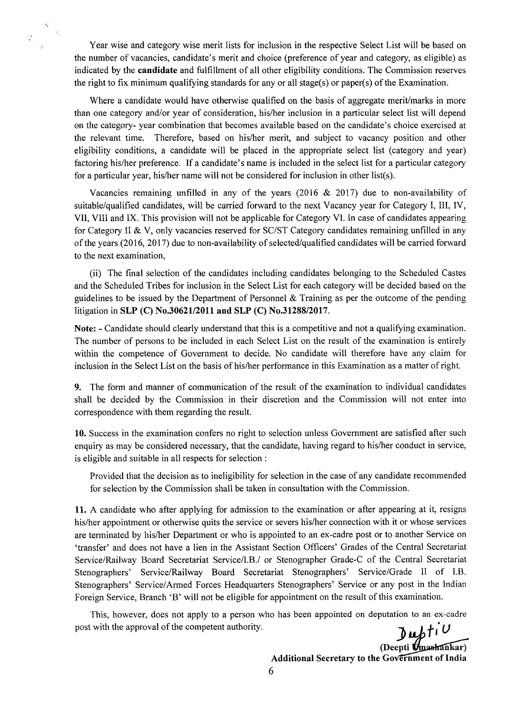Year wise and category wise merit lists for inclusion in the respective Select List will be based on the number of vacancies, candidate's merit and choice (preference of year and category, as eligible) as indicated by the **candidate** and fulfillment of all other eligibility conditions. The Commission reserves the right to fix minimum qualifying standards for any or all stage(s) or paper(s) of the Examination.

X

Where a candidate would have otherwise qualified on the basis of aggregate merit/marks in more than one category and/or year of consideration, his/her inclusion in a particular select list will depend on the category- year combination that becomes available based on the candidate's choice exercised at the relevant time. Therefore, based on his/her merit, and subject to vacancy position and other eligibility conditions, a candidate will be placed in the appropriate select list (category and year) factoring his/her preference. If a candidate's name is included in the select list for a particular category for a particular year, his/her name will not be considered for inclusion in other list(s).

Vacancies remaining unfilled in any of the years  $(2016 \& 2017)$  due to non-availability of suitable/qualified candidates, will be carried forward to the next Vacancy year for Category I, III, IV, VII, VIII and IX. This provision will not be applicable for Category VI. In case of candidates appearing for Category II & V, only vacancies reserved for SC/ST Category candidates remaining unfilled in any of the years (2016, 2017) due to non-availability of selected/qualified candidates will be carried forward to the next examination,

(ii) The final selection of the candidates including candidates belonging to the Scheduled Castes and the Scheduled Tribes for inclusion in the Select List for each category will be decided based on the guidelines to be issued by the Department of Personnel & Training as per the outcome of the pending litigation in **SLP (C) No.30621/2011 and SLP (C) No.31288/2017.** 

**Note:** - Candidate should clearly understand that this is a competitive and not a qualifying examination. The number of persons to be included in each Select List on the result of the examination is entirely within the competence of Government to decide. No candidate will therefore have any claim for inclusion in the Select List on the basis of his/her performance in this Examination as a matter of right.

9. The form and manner of communication of the result of the examination to individual candidates shall be decided by the Commission in their discretion and the Commission will not enter into correspondence with them regarding the result.

10. Success in the examination confers no right to selection unless Government are satisfied after such enquiry as may be considered necessary, that the candidate, having regard to his/her conduct in service, is eligible and suitable in all respects for selection

Provided that the decision as to ineligibility for selection in the case of any candidate recommended for selection by the Commission shall be taken in consultation with the Commission.

11. A candidate who after applying for admission to the examination or after appearing at it, resigns his/her appointment or otherwise quits the service or severs his/her connection with it or whose services are terminated by his/her Department or who is appointed to an ex-cadre post or to another Service on 'transfer' and does not have a lien in the Assistant Section Officers' Grades of the Central Secretariat Service/Railway Board Secretariat Service/I.B./ or Stenographer Grade-C of the Central Secretariat Stenographers' Service/Railway Board Secretariat Stenographers' Service/Grade II of I.B. Stenographers' Service/Armed Forces Headquarters Stenographers' Service or any post in the Indian Foreign Service, Branch 'B' will not be eligible for appointment on the result of this examination.

 $J$ uptiu This, however, does not apply to a person who has been appointed on deputation to an ex-cadre post with the approval of the competent authority.

(Deepti Umashankar)<br>
Government of India **Additional Secretary to the Government of India**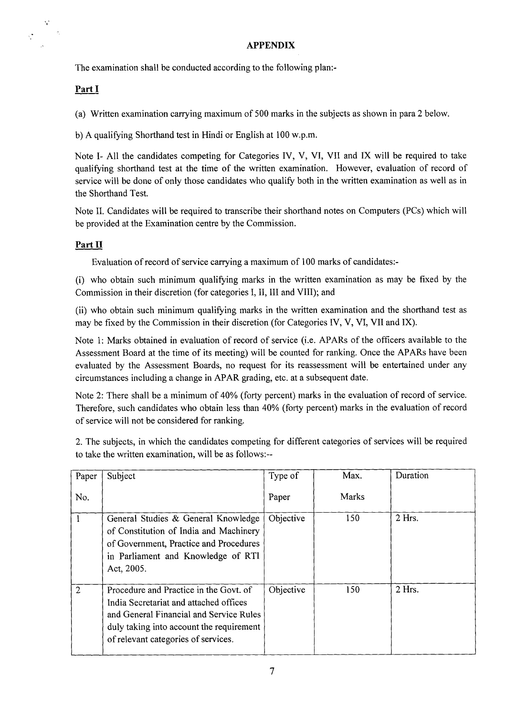## **APPENDIX**

The examination shall be conducted according to the following plan:-

# **Part!**

 $\frac{1}{2}$ 

(a) Written examination carrying maximum of 500 marks in the subjects as shown in para 2 below.

b) A qualifying Shorthand test in Hindi or English at 100 w.p.m.

Note I- All the candidates competing for Categories IV, V, VI, VII and IX will be required to take qualifying shorthand test at the time of the written examination. However, evaluation of record of service will be done of only those candidates who qualify both in the written examination as well as in the Shorthand Test.

Note II. Candidates will be required to transcribe their shorthand notes on Computers (PCs) which will be provided at the Examination centre by the Commission.

## **Part II**

Evaluation of record of service carrying a maximum of 100 marks of candidates:-

(i) who obtain such minimum qualifying marks in the written examination as may be fixed by the Commission in their discretion (for categories I, II, III and VIII); and

(ii) who obtain such minimum qualifying marks in the written examination and the shorthand test as may be fixed by the Commission in their discretion (for Categories IV, V, VI, VII and IX).

Note 1: Marks obtained in evaluation of record of service (i.e. APARs of the officers available to the Assessment Board at the time of its meeting) will be counted for ranking. Once the APARs have been evaluated by the Assessment Boards, no request for its reassessment will be entertained under any circumstances including a change in APAR grading, etc. at a subsequent date.

Note 2: There shall be a minimum of 40% (forty percent) marks in the evaluation of record of service. Therefore, such candidates who obtain less than 40% (forty percent) marks in the evaluation of record of service will not be considered for ranking.

2. The subjects, in which the candidates competing for different categories of services will be required to take the written examination, will be as follows:--

| Paper          | Subject                                                                                                                                                                                                        | Type of   | Max.         | Duration |
|----------------|----------------------------------------------------------------------------------------------------------------------------------------------------------------------------------------------------------------|-----------|--------------|----------|
| No.            |                                                                                                                                                                                                                | Paper     | <b>Marks</b> |          |
|                | General Studies & General Knowledge<br>of Constitution of India and Machinery<br>of Government, Practice and Procedures<br>in Parliament and Knowledge of RTI<br>Act, 2005.                                    | Objective | 150          | $2$ Hrs. |
| $\overline{2}$ | Procedure and Practice in the Govt. of<br>India Secretariat and attached offices<br>and General Financial and Service Rules<br>duly taking into account the requirement<br>of relevant categories of services. | Objective | 150          | $2$ Hrs. |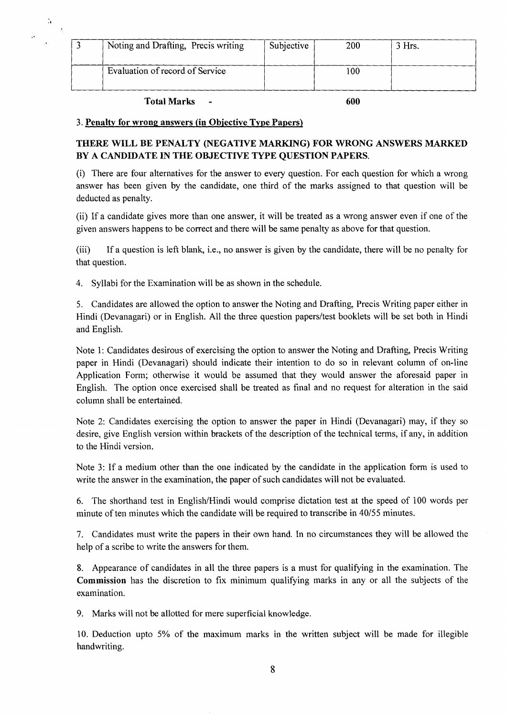| Noting and Drafting, Precis writing | Subjective | 200 | 3 Hrs. |
|-------------------------------------|------------|-----|--------|
|                                     |            |     |        |
| Evaluation of record of Service     |            | 100 |        |
|                                     |            |     |        |

**Total Marks** - **600** 

 $\ddot{u}$  $\mathcal{A}$ 

#### **3. Penalty for wrong answers (in Objective Type Papers)**

## **THERE WILL BE PENALTY (NEGATWE MARKING) FOR WRONG ANSWERS MARKED BY A CANDIDATE IN THE OBJECTiVE TYPE QUESTION PAPERS.**

(i) There are four alternatives for the answer to every question. For each question for which a wrong answer has been given by the candidate, one third of the marks assigned to that question will be deducted as penalty.

(ii) If a candidate gives more than one answer, it will be treated as a wrong answer even if one of the given answers happens to be correct and there will be same penalty as above for that question.

(iii) If a question is left blank, i.e., no answer is given by the candidate, there will be no penalty for that question.

4. Syllabi for the Examination will be as shown in the schedule.

5. Candidates are allowed the option to answer the Noting and Drafting, Precis Writing paper either in Hindi (Devanagari) or in English. All the three question papers/test booklets will be set both in Hindi and English.

Note 1: Candidates desirous of exercising the option to answer the Noting and Drafting, Precis Writing paper in Hindi (Devanagari) should indicate their intention to do so in relevant column of on-line Application Form; otherwise it would be assumed that they would answer the aforesaid paper in English. The option once exercised shall be treated as final and no request for alteration in the said column shall be entertained.

Note 2: Candidates exercising the option to answer the paper in Hindi (Devanagari) may, if they so desire, give English version within brackets of the description of the technical terms, if any, in addition to the Hindi version.

Note 3: If a medium other than the one indicated by the candidate in the application form is used to write the answer in the examination, the paper of such candidates will not be evaluated.

6. The shorthand test in English/Hindi would comprise dictation test at the speed of 100 words per minute of ten minutes which the candidate will be required to transcribe in 40/55 minutes.

7. Candidates must write the papers in their own hand. In no circumstances they will be allowed the help of a scribe to write the answers for them.

8. Appearance of candidates in all the three papers is a must for qualifying in the examination. The **Commission** has the discretion to fix minimum qualifying marks in any or all the subjects of the examination.

9. Marks will not be allotted for mere superficial knowledge.

10. Deduction upto 5% of the maximum marks in the written subject will be made for illegible handwriting.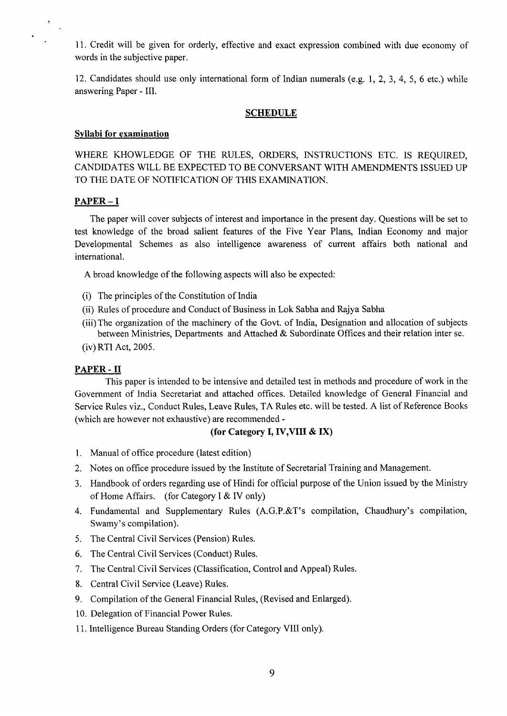11. Credit will be given for orderly, effective and exact expression combined with due economy of words in the subjective paper.

12. Candidates should use only international form of Indian numerals (e.g. 1, 2, 3, 4, 5, 6 etc.) while answering Paper - III.

#### **SCHEDULE**

### **Syllabi for examination**

WHERE KHOWLEDGE OF THE RULES, ORDERS, INSTRUCTIONS ETC. IS REQUIRED, CANDIDATES WILL BE EXPECTED TO BE CONVERSANT WITH AMENDMENTS ISSUED UP TO THE DATE OF NOTIFICATION OF THIS EXAMINATION.

#### **PAPER—I**

The paper will cover subjects of interest and importance in the present day. Questions will be set to test knowledge of the broad salient features of the Five Year Plans, Indian Economy and major Developmental Schemes as also intelligence awareness of current affairs both national and international.

A broad knowledge of the following aspects will also be expected:

- (i) The principles of the Constitution of India
- (ii) Rules of procedure and Conduct of Business in Lok Sabha and Rajya Sabha
- (iii) The organization of the machinery of the Govt. of India, Designation and allocation of subjects between Ministries, Departments and Attached & Subordinate Offices and their relation inter se.
- (iv) RTI Act, 2005.

#### **PAPER -II**

This paper is intended to be intensive and detailed test in methods and procedure of work in the Government of India Secretariat and attached offices. Detailed knowledge of General Financial and Service Rules viz., Conduct Rules, Leave Rules, TA Rules etc. will be tested. A list of Reference Books (which are however not exhaustive) are recommended -

### **(for Category I, IV,VIII & IX)**

- 1. Manual of office procedure (latest edition)
- 2. Notes on office procedure issued by the Institute of Secretarial Training and Management.
- 3. Handbook of orders regarding use of Hindi for official purpose of the Union issued by the Ministry of Home Affairs. (for Category I & IV only)
- 4. Fundamental and Supplementary Rules (A.G.P.&T's compilation, Chaudhury's compilation, Swamy's compilation).
- 5. The Central Civil Services (Pension) Rules.
- 6. The Central Civil Services (Conduct) Rules.
- 7. The Central Civil Services (Classification, Control and Appeal) Rules.
- 8. Central Civil Service (Leave) Rules.
- 9. Compilation of the General Financial Rules, (Revised and Enlarged).
- 10. Delegation of Financial Power Rules.
- 11. Intelligence Bureau Standing Orders (for Category VIII only).